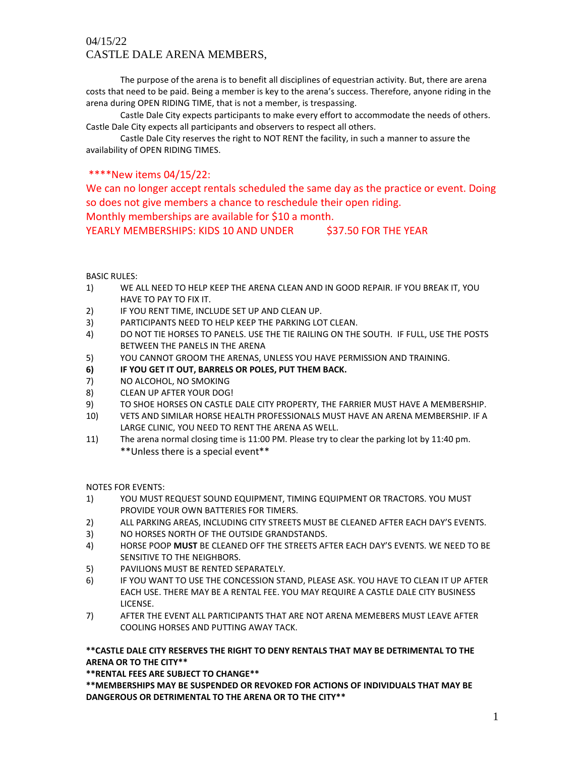# 04/15/22 CASTLE DALE ARENA MEMBERS,

The purpose of the arena is to benefit all disciplines of equestrian activity. But, there are arena costs that need to be paid. Being a member is key to the arena's success. Therefore, anyone riding in the arena during OPEN RIDING TIME, that is not a member, is trespassing.

Castle Dale City expects participants to make every effort to accommodate the needs of others. Castle Dale City expects all participants and observers to respect all others.

Castle Dale City reserves the right to NOT RENT the facility, in such a manner to assure the availability of OPEN RIDING TIMES.

## \*\*\*\*New items 04/15/22:

We can no longer accept rentals scheduled the same day as the practice or event. Doing so does not give members a chance to reschedule their open riding. Monthly memberships are available for \$10 a month.

YEARLY MEMBERSHIPS: KIDS 10 AND UNDER \$37.50 FOR THE YEAR

### BASIC RULES:

- 1) WE ALL NEED TO HELP KEEP THE ARENA CLEAN AND IN GOOD REPAIR. IF YOU BREAK IT, YOU HAVE TO PAY TO FIX IT.
- 2) IF YOU RENT TIME, INCLUDE SET UP AND CLEAN UP.
- 3) PARTICIPANTS NEED TO HELP KEEP THE PARKING LOT CLEAN.
- 4) DO NOT TIE HORSES TO PANELS. USE THE TIE RAILING ON THE SOUTH. IF FULL, USE THE POSTS BETWEEN THE PANELS IN THE ARENA
- 5) YOU CANNOT GROOM THE ARENAS, UNLESS YOU HAVE PERMISSION AND TRAINING.
- **6) IF YOU GET IT OUT, BARRELS OR POLES, PUT THEM BACK.**
- 7) NO ALCOHOL, NO SMOKING
- 8) CLEAN UP AFTER YOUR DOG!
- 9) TO SHOE HORSES ON CASTLE DALE CITY PROPERTY, THE FARRIER MUST HAVE A MEMBERSHIP.
- 10) VETS AND SIMILAR HORSE HEALTH PROFESSIONALS MUST HAVE AN ARENA MEMBERSHIP. IF A LARGE CLINIC, YOU NEED TO RENT THE ARENA AS WELL.
- 11) The arena normal closing time is 11:00 PM. Please try to clear the parking lot by 11:40 pm. \*\*Unless there is a special event\*\*

NOTES FOR EVENTS:

- 1) YOU MUST REQUEST SOUND EQUIPMENT, TIMING EQUIPMENT OR TRACTORS. YOU MUST PROVIDE YOUR OWN BATTERIES FOR TIMERS.
- 2) ALL PARKING AREAS, INCLUDING CITY STREETS MUST BE CLEANED AFTER EACH DAY'S EVENTS.
- 3) NO HORSES NORTH OF THE OUTSIDE GRANDSTANDS.
- 4) HORSE POOP **MUST** BE CLEANED OFF THE STREETS AFTER EACH DAY'S EVENTS. WE NEED TO BE SENSITIVE TO THE NEIGHBORS.
- 5) PAVILIONS MUST BE RENTED SEPARATELY.
- 6) IF YOU WANT TO USE THE CONCESSION STAND, PLEASE ASK. YOU HAVE TO CLEAN IT UP AFTER EACH USE. THERE MAY BE A RENTAL FEE. YOU MAY REQUIRE A CASTLE DALE CITY BUSINESS LICENSE.
- 7) AFTER THE EVENT ALL PARTICIPANTS THAT ARE NOT ARENA MEMEBERS MUST LEAVE AFTER COOLING HORSES AND PUTTING AWAY TACK.

### **\*\*CASTLE DALE CITY RESERVES THE RIGHT TO DENY RENTALS THAT MAY BE DETRIMENTAL TO THE ARENA OR TO THE CITY\*\***

**\*\*RENTAL FEES ARE SUBJECT TO CHANGE\*\*** 

**\*\*MEMBERSHIPS MAY BE SUSPENDED OR REVOKED FOR ACTIONS OF INDIVIDUALS THAT MAY BE DANGEROUS OR DETRIMENTAL TO THE ARENA OR TO THE CITY\*\***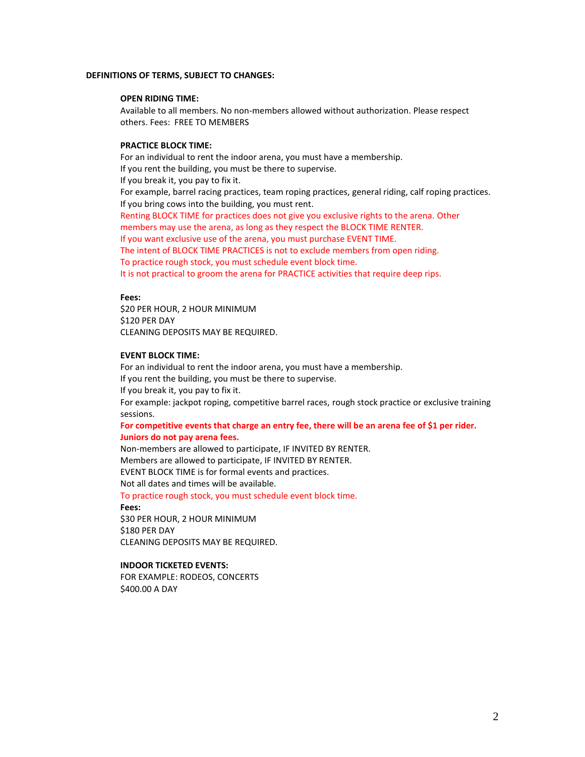#### **DEFINITIONS OF TERMS, SUBJECT TO CHANGES:**

#### **OPEN RIDING TIME:**

Available to all members. No non-members allowed without authorization. Please respect others. Fees: FREE TO MEMBERS

### **PRACTICE BLOCK TIME:**

For an individual to rent the indoor arena, you must have a membership. If you rent the building, you must be there to supervise. If you break it, you pay to fix it. For example, barrel racing practices, team roping practices, general riding, calf roping practices. If you bring cows into the building, you must rent. Renting BLOCK TIME for practices does not give you exclusive rights to the arena. Other members may use the arena, as long as they respect the BLOCK TIME RENTER. If you want exclusive use of the arena, you must purchase EVENT TIME. The intent of BLOCK TIME PRACTICES is not to exclude members from open riding. To practice rough stock, you must schedule event block time. It is not practical to groom the arena for PRACTICE activities that require deep rips.

#### **Fees:**

\$20 PER HOUR, 2 HOUR MINIMUM \$120 PER DAY CLEANING DEPOSITS MAY BE REQUIRED.

#### **EVENT BLOCK TIME:**

For an individual to rent the indoor arena, you must have a membership. If you rent the building, you must be there to supervise. If you break it, you pay to fix it. For example: jackpot roping, competitive barrel races, rough stock practice or exclusive training sessions.

#### **For competitive events that charge an entry fee, there will be an arena fee of \$1 per rider. Juniors do not pay arena fees.**

Non-members are allowed to participate, IF INVITED BY RENTER. Members are allowed to participate, IF INVITED BY RENTER. EVENT BLOCK TIME is for formal events and practices. Not all dates and times will be available.

To practice rough stock, you must schedule event block time.

**Fees:**

\$30 PER HOUR, 2 HOUR MINIMUM \$180 PER DAY CLEANING DEPOSITS MAY BE REQUIRED.

#### **INDOOR TICKETED EVENTS:**

FOR EXAMPLE: RODEOS, CONCERTS \$400.00 A DAY